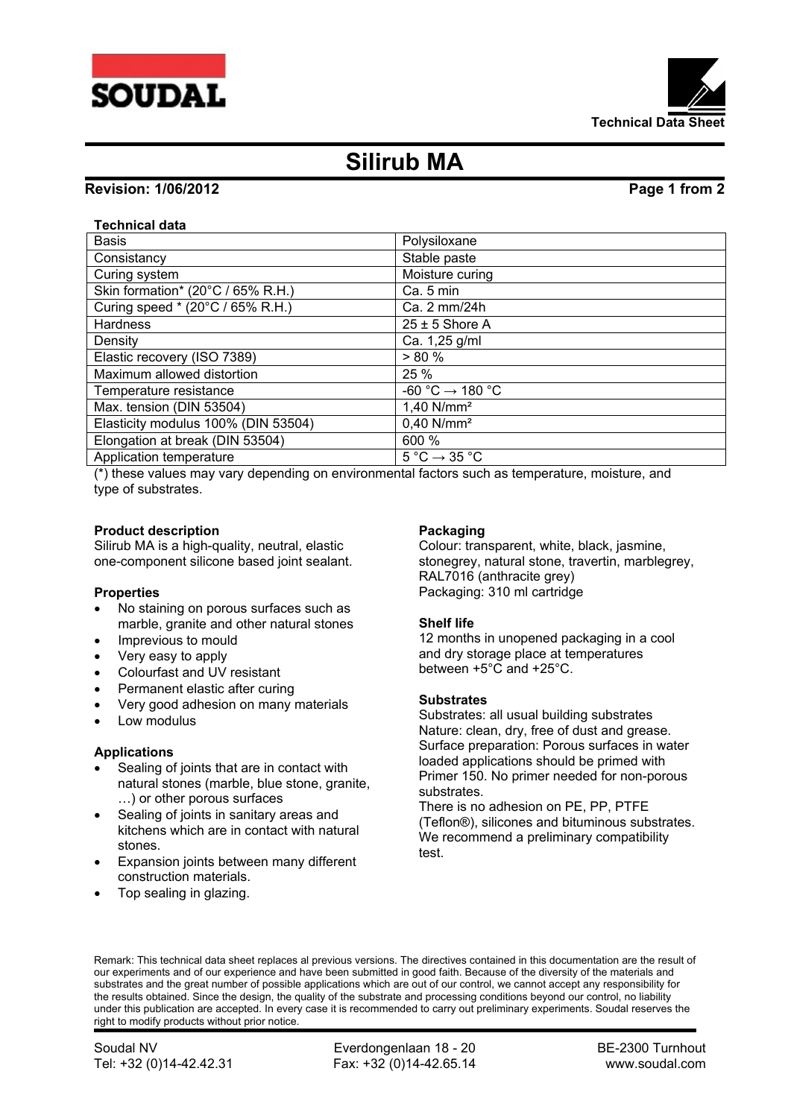



# **Silirub MA**

# **Revision: 1/06/2012 Page 1 from 2**

# **Technical data**

| <b>Basis</b>                        | Polysiloxane                                |
|-------------------------------------|---------------------------------------------|
| Consistancy                         | Stable paste                                |
| Curing system                       | Moisture curing                             |
| Skin formation* (20°C / 65% R.H.)   | Ca. 5 min                                   |
| Curing speed * (20°C / 65% R.H.)    | Ca. 2 mm/24h                                |
| <b>Hardness</b>                     | $25 \pm 5$ Shore A                          |
| Density                             | Ca. 1,25 g/ml                               |
| Elastic recovery (ISO 7389)         | $> 80 \%$                                   |
| Maximum allowed distortion          | 25 %                                        |
| Temperature resistance              | $-60 °C \rightarrow 180 °C$                 |
| Max. tension (DIN 53504)            | $1,40$ N/mm <sup>2</sup>                    |
| Elasticity modulus 100% (DIN 53504) | $0,40$ N/mm <sup>2</sup>                    |
| Elongation at break (DIN 53504)     | 600 %                                       |
| Application temperature             | $5^{\circ}$ C $\rightarrow$ 35 $^{\circ}$ C |

(\*) these values may vary depending on environmental factors such as temperature, moisture, and type of substrates.

## **Product description**

Silirub MA is a high-quality, neutral, elastic one-component silicone based joint sealant.

### **Properties**

- No staining on porous surfaces such as marble, granite and other natural stones
- Imprevious to mould
- Very easy to apply
- Colourfast and UV resistant
- Permanent elastic after curing
- Very good adhesion on many materials
- Low modulus

# **Applications**

- Sealing of joints that are in contact with natural stones (marble, blue stone, granite, …) or other porous surfaces
- Sealing of joints in sanitary areas and kitchens which are in contact with natural stones.
- Expansion joints between many different construction materials.
- Top sealing in glazing.

### **Packaging**

Colour: transparent, white, black, jasmine, stonegrey, natural stone, travertin, marblegrey, RAL7016 (anthracite grey) Packaging: 310 ml cartridge

### **Shelf life**

12 months in unopened packaging in a cool and dry storage place at temperatures between +5°C and +25°C.

### **Substrates**

Substrates: all usual building substrates Nature: clean, dry, free of dust and grease. Surface preparation: Porous surfaces in water loaded applications should be primed with Primer 150. No primer needed for non-porous substrates.

There is no adhesion on PE, PP, PTFE (Teflon®), silicones and bituminous substrates. We recommend a preliminary compatibility test.

Remark: This technical data sheet replaces al previous versions. The directives contained in this documentation are the result of our experiments and of our experience and have been submitted in good faith. Because of the diversity of the materials and substrates and the great number of possible applications which are out of our control, we cannot accept any responsibility for the results obtained. Since the design, the quality of the substrate and processing conditions beyond our control, no liability under this publication are accepted. In every case it is recommended to carry out preliminary experiments. Soudal reserves the right to modify products without prior notice.